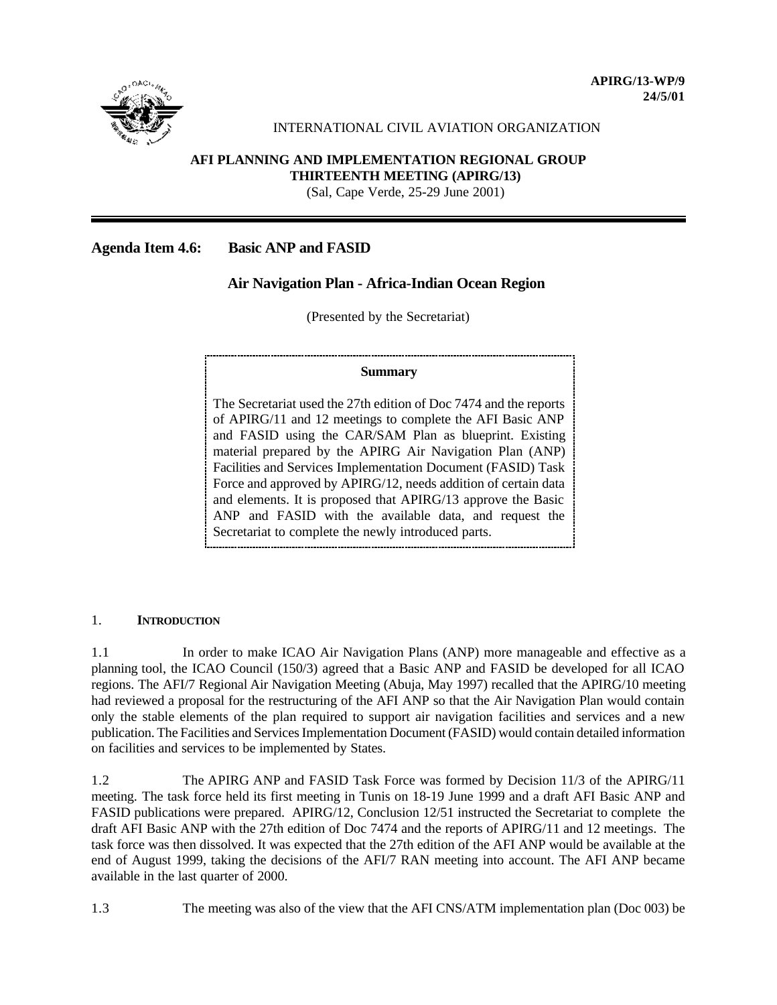

#### INTERNATIONAL CIVIL AVIATION ORGANIZATION

# **AFI PLANNING AND IMPLEMENTATION REGIONAL GROUP**

 **THIRTEENTH MEETING (APIRG/13)**

(Sal, Cape Verde, 25-29 June 2001)

# **Agenda Item 4.6: Basic ANP and FASID**

# **Air Navigation Plan - Africa-Indian Ocean Region**

(Presented by the Secretariat)

#### **Summary**

The Secretariat used the 27th edition of Doc 7474 and the reports of APIRG/11 and 12 meetings to complete the AFI Basic ANP and FASID using the CAR/SAM Plan as blueprint. Existing material prepared by the APIRG Air Navigation Plan (ANP) Facilities and Services Implementation Document (FASID) Task Force and approved by APIRG/12, needs addition of certain data and elements. It is proposed that APIRG/13 approve the Basic ANP and FASID with the available data, and request the Secretariat to complete the newly introduced parts.

# 1. **INTRODUCTION**

1.1 In order to make ICAO Air Navigation Plans (ANP) more manageable and effective as a planning tool, the ICAO Council (150/3) agreed that a Basic ANP and FASID be developed for all ICAO regions. The AFI/7 Regional Air Navigation Meeting (Abuja, May 1997) recalled that the APIRG/10 meeting had reviewed a proposal for the restructuring of the AFI ANP so that the Air Navigation Plan would contain only the stable elements of the plan required to support air navigation facilities and services and a new publication. The Facilities and Services Implementation Document (FASID) would contain detailed information on facilities and services to be implemented by States.

1.2 The APIRG ANP and FASID Task Force was formed by Decision 11/3 of the APIRG/11 meeting. The task force held its first meeting in Tunis on 18-19 June 1999 and a draft AFI Basic ANP and FASID publications were prepared. APIRG/12, Conclusion 12/51 instructed the Secretariat to complete the draft AFI Basic ANP with the 27th edition of Doc 7474 and the reports of APIRG/11 and 12 meetings. The task force was then dissolved. It was expected that the 27th edition of the AFI ANP would be available at the end of August 1999, taking the decisions of the AFI/7 RAN meeting into account. The AFI ANP became available in the last quarter of 2000.

1.3 The meeting was also of the view that the AFI CNS/ATM implementation plan (Doc 003) be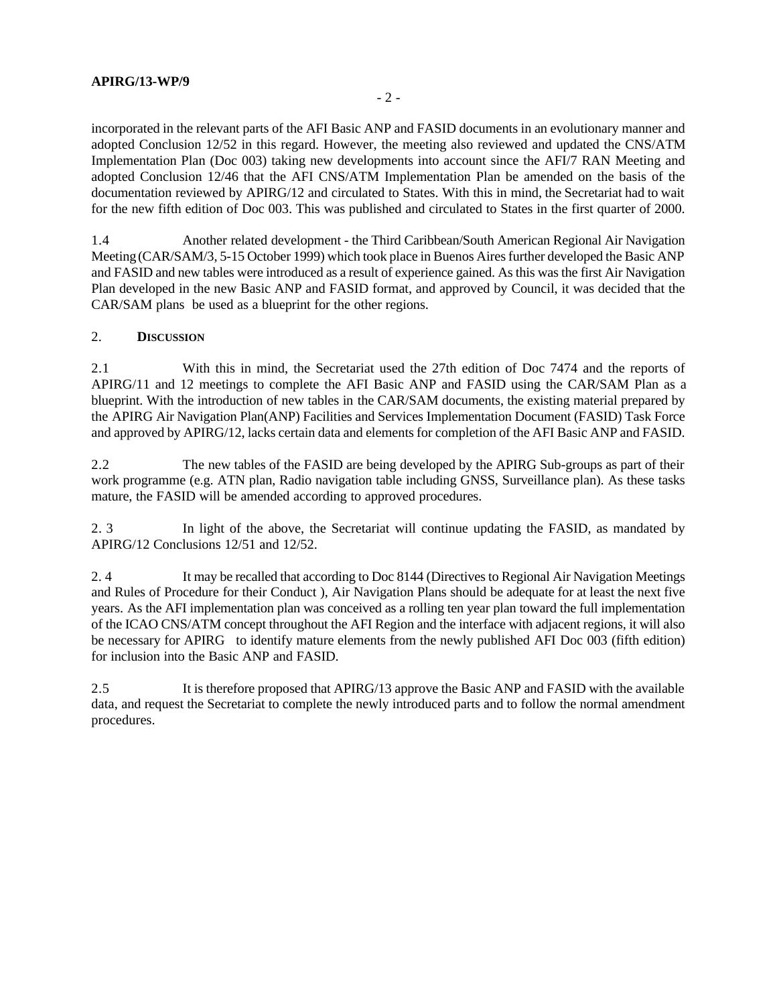## **APIRG/13-WP/9**

incorporated in the relevant parts of the AFI Basic ANP and FASID documents in an evolutionary manner and adopted Conclusion 12/52 in this regard. However, the meeting also reviewed and updated the CNS/ATM Implementation Plan (Doc 003) taking new developments into account since the AFI/7 RAN Meeting and adopted Conclusion 12/46 that the AFI CNS/ATM Implementation Plan be amended on the basis of the documentation reviewed by APIRG/12 and circulated to States. With this in mind, the Secretariat had to wait for the new fifth edition of Doc 003. This was published and circulated to States in the first quarter of 2000.

1.4 Another related development - the Third Caribbean/South American Regional Air Navigation Meeting (CAR/SAM/3, 5-15 October 1999) which took place in Buenos Aires further developed the Basic ANP and FASID and new tables were introduced as a result of experience gained. As this was the first Air Navigation Plan developed in the new Basic ANP and FASID format, and approved by Council, it was decided that the CAR/SAM plans be used as a blueprint for the other regions.

### 2. **DISCUSSION**

2.1 With this in mind, the Secretariat used the 27th edition of Doc 7474 and the reports of APIRG/11 and 12 meetings to complete the AFI Basic ANP and FASID using the CAR/SAM Plan as a blueprint. With the introduction of new tables in the CAR/SAM documents, the existing material prepared by the APIRG Air Navigation Plan(ANP) Facilities and Services Implementation Document (FASID) Task Force and approved by APIRG/12, lacks certain data and elements for completion of the AFI Basic ANP and FASID.

2.2 The new tables of the FASID are being developed by the APIRG Sub-groups as part of their work programme (e.g. ATN plan, Radio navigation table including GNSS, Surveillance plan). As these tasks mature, the FASID will be amended according to approved procedures.

2. 3 In light of the above, the Secretariat will continue updating the FASID, as mandated by APIRG/12 Conclusions 12/51 and 12/52.

2. 4 It may be recalled that according to Doc 8144 (Directives to Regional Air Navigation Meetings and Rules of Procedure for their Conduct ), Air Navigation Plans should be adequate for at least the next five years. As the AFI implementation plan was conceived as a rolling ten year plan toward the full implementation of the ICAO CNS/ATM concept throughout the AFI Region and the interface with adjacent regions, it will also be necessary for APIRG to identify mature elements from the newly published AFI Doc 003 (fifth edition) for inclusion into the Basic ANP and FASID.

2.5 It is therefore proposed that APIRG/13 approve the Basic ANP and FASID with the available data, and request the Secretariat to complete the newly introduced parts and to follow the normal amendment procedures.